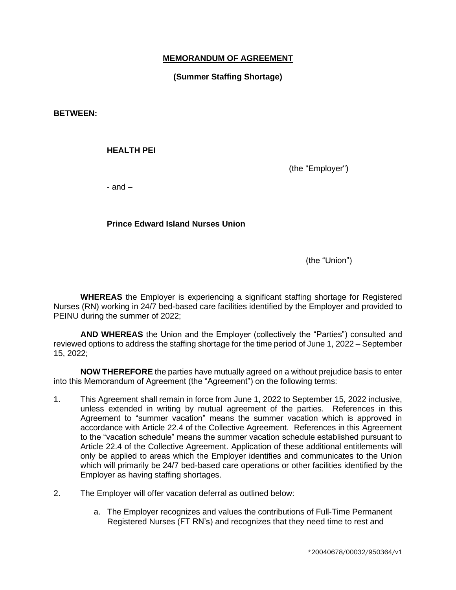## **MEMORANDUM OF AGREEMENT**

# **(Summer Staffing Shortage)**

**BETWEEN:** 

#### **HEALTH PEI**

(the "Employer")

 $-$  and  $-$ 

## **Prince Edward Island Nurses Union**

(the "Union")

**WHEREAS** the Employer is experiencing a significant staffing shortage for Registered Nurses (RN) working in 24/7 bed-based care facilities identified by the Employer and provided to PEINU during the summer of 2022;

**AND WHEREAS** the Union and the Employer (collectively the "Parties") consulted and reviewed options to address the staffing shortage for the time period of June 1, 2022 – September 15, 2022;

**NOW THEREFORE** the parties have mutually agreed on a without prejudice basis to enter into this Memorandum of Agreement (the "Agreement") on the following terms:

- 1. This Agreement shall remain in force from June 1, 2022 to September 15, 2022 inclusive, unless extended in writing by mutual agreement of the parties. References in this Agreement to "summer vacation" means the summer vacation which is approved in accordance with Article 22.4 of the Collective Agreement. References in this Agreement to the "vacation schedule" means the summer vacation schedule established pursuant to Article 22.4 of the Collective Agreement. Application of these additional entitlements will only be applied to areas which the Employer identifies and communicates to the Union which will primarily be 24/7 bed-based care operations or other facilities identified by the Employer as having staffing shortages.
- 2. The Employer will offer vacation deferral as outlined below:
	- a. The Employer recognizes and values the contributions of Full-Time Permanent Registered Nurses (FT RN's) and recognizes that they need time to rest and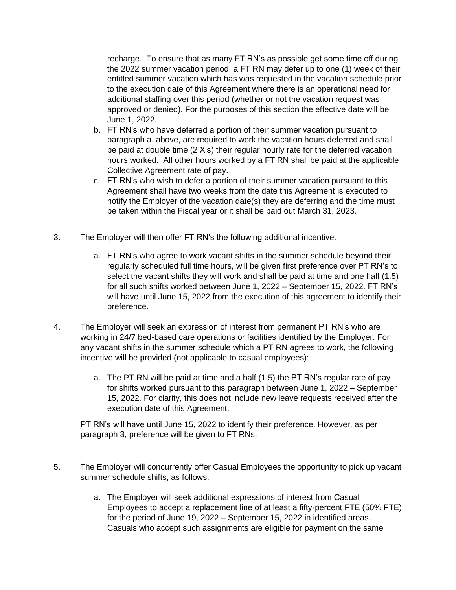recharge. To ensure that as many FT RN's as possible get some time off during the 2022 summer vacation period, a FT RN may defer up to one (1) week of their entitled summer vacation which has was requested in the vacation schedule prior to the execution date of this Agreement where there is an operational need for additional staffing over this period (whether or not the vacation request was approved or denied). For the purposes of this section the effective date will be June 1, 2022.

- b. FT RN's who have deferred a portion of their summer vacation pursuant to paragraph a. above, are required to work the vacation hours deferred and shall be paid at double time (2 X's) their regular hourly rate for the deferred vacation hours worked. All other hours worked by a FT RN shall be paid at the applicable Collective Agreement rate of pay.
- c. FT RN's who wish to defer a portion of their summer vacation pursuant to this Agreement shall have two weeks from the date this Agreement is executed to notify the Employer of the vacation date(s) they are deferring and the time must be taken within the Fiscal year or it shall be paid out March 31, 2023.
- 3. The Employer will then offer FT RN's the following additional incentive:
	- a. FT RN's who agree to work vacant shifts in the summer schedule beyond their regularly scheduled full time hours, will be given first preference over PT RN's to select the vacant shifts they will work and shall be paid at time and one half (1.5) for all such shifts worked between June 1, 2022 – September 15, 2022. FT RN's will have until June 15, 2022 from the execution of this agreement to identify their preference.
- 4. The Employer will seek an expression of interest from permanent PT RN's who are working in 24/7 bed-based care operations or facilities identified by the Employer. For any vacant shifts in the summer schedule which a PT RN agrees to work, the following incentive will be provided (not applicable to casual employees):
	- a. The PT RN will be paid at time and a half (1.5) the PT RN's regular rate of pay for shifts worked pursuant to this paragraph between June 1, 2022 – September 15, 2022. For clarity, this does not include new leave requests received after the execution date of this Agreement.

PT RN's will have until June 15, 2022 to identify their preference. However, as per paragraph 3, preference will be given to FT RNs.

- 5. The Employer will concurrently offer Casual Employees the opportunity to pick up vacant summer schedule shifts, as follows:
	- a. The Employer will seek additional expressions of interest from Casual Employees to accept a replacement line of at least a fifty-percent FTE (50% FTE) for the period of June 19, 2022 – September 15, 2022 in identified areas. Casuals who accept such assignments are eligible for payment on the same